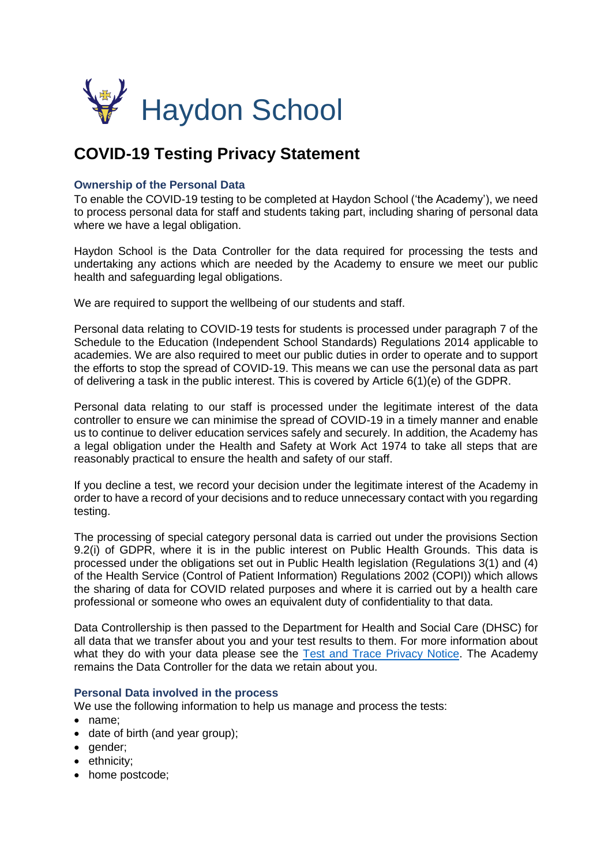

# **COVID-19 Testing Privacy Statement**

# **Ownership of the Personal Data**

To enable the COVID-19 testing to be completed at Haydon School ('the Academy'), we need to process personal data for staff and students taking part, including sharing of personal data where we have a legal obligation.

Haydon School is the Data Controller for the data required for processing the tests and undertaking any actions which are needed by the Academy to ensure we meet our public health and safeguarding legal obligations.

We are required to support the wellbeing of our students and staff.

Personal data relating to COVID-19 tests for students is processed under paragraph 7 of the Schedule to the Education (Independent School Standards) Regulations 2014 applicable to academies. We are also required to meet our public duties in order to operate and to support the efforts to stop the spread of COVID-19. This means we can use the personal data as part of delivering a task in the public interest. This is covered by Article 6(1)(e) of the GDPR.

Personal data relating to our staff is processed under the legitimate interest of the data controller to ensure we can minimise the spread of COVID-19 in a timely manner and enable us to continue to deliver education services safely and securely. In addition, the Academy has a legal obligation under the Health and Safety at Work Act 1974 to take all steps that are reasonably practical to ensure the health and safety of our staff.

If you decline a test, we record your decision under the legitimate interest of the Academy in order to have a record of your decisions and to reduce unnecessary contact with you regarding testing.

The processing of special category personal data is carried out under the provisions Section 9.2(i) of GDPR, where it is in the public interest on Public Health Grounds. This data is processed under the obligations set out in Public Health legislation (Regulations 3(1) and (4) of the Health Service (Control of Patient Information) Regulations 2002 (COPI)) which allows the sharing of data for COVID related purposes and where it is carried out by a health care professional or someone who owes an equivalent duty of confidentiality to that data.

Data Controllership is then passed to the Department for Health and Social Care (DHSC) for all data that we transfer about you and your test results to them. For more information about what they do with your data please see the [Test and Trace](https://contact-tracing.phe.gov.uk/help/privacy-notice) Privacy Notice. The Academy remains the Data Controller for the data we retain about you.

## **Personal Data involved in the process**

We use the following information to help us manage and process the tests:

- name:
- date of birth (and year group);
- gender;
- ethnicity:
- home postcode;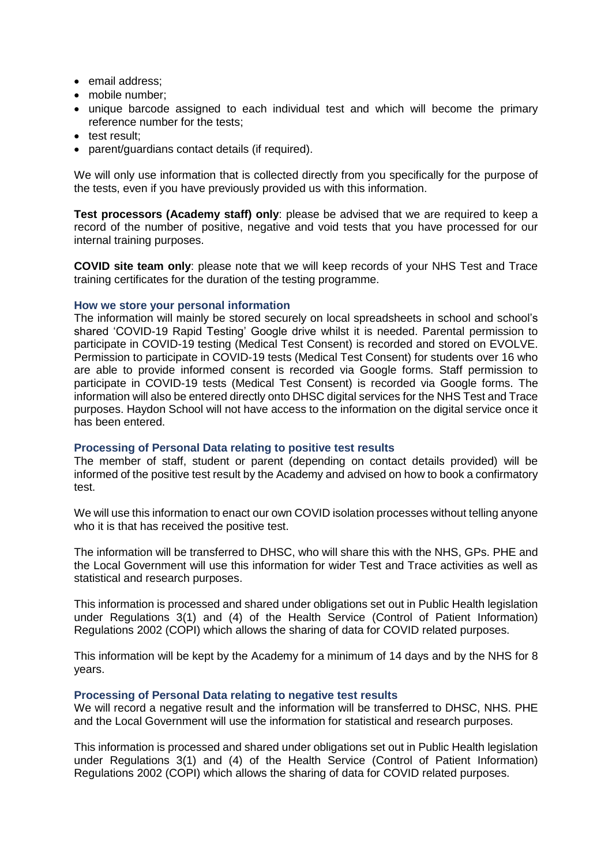- email address:
- mobile number:
- unique barcode assigned to each individual test and which will become the primary reference number for the tests;
- test result:
- parent/guardians contact details (if required).

We will only use information that is collected directly from you specifically for the purpose of the tests, even if you have previously provided us with this information.

**Test processors (Academy staff) only**: please be advised that we are required to keep a record of the number of positive, negative and void tests that you have processed for our internal training purposes.

**COVID site team only**: please note that we will keep records of your NHS Test and Trace training certificates for the duration of the testing programme.

### **How we store your personal information**

The information will mainly be stored securely on local spreadsheets in school and school's shared 'COVID-19 Rapid Testing' Google drive whilst it is needed. Parental permission to participate in COVID-19 testing (Medical Test Consent) is recorded and stored on EVOLVE. Permission to participate in COVID-19 tests (Medical Test Consent) for students over 16 who are able to provide informed consent is recorded via Google forms. Staff permission to participate in COVID-19 tests (Medical Test Consent) is recorded via Google forms. The information will also be entered directly onto DHSC digital services for the NHS Test and Trace purposes. Haydon School will not have access to the information on the digital service once it has been entered.

### **Processing of Personal Data relating to positive test results**

The member of staff, student or parent (depending on contact details provided) will be informed of the positive test result by the Academy and advised on how to book a confirmatory test.

We will use this information to enact our own COVID isolation processes without telling anyone who it is that has received the positive test.

The information will be transferred to DHSC, who will share this with the NHS, GPs. PHE and the Local Government will use this information for wider Test and Trace activities as well as statistical and research purposes.

This information is processed and shared under obligations set out in Public Health legislation under Regulations 3(1) and (4) of the Health Service (Control of Patient Information) Regulations 2002 (COPI) which allows the sharing of data for COVID related purposes.

This information will be kept by the Academy for a minimum of 14 days and by the NHS for 8 years.

### **Processing of Personal Data relating to negative test results**

We will record a negative result and the information will be transferred to DHSC, NHS. PHE and the Local Government will use the information for statistical and research purposes.

This information is processed and shared under obligations set out in Public Health legislation under Regulations 3(1) and (4) of the Health Service (Control of Patient Information) Regulations 2002 (COPI) which allows the sharing of data for COVID related purposes.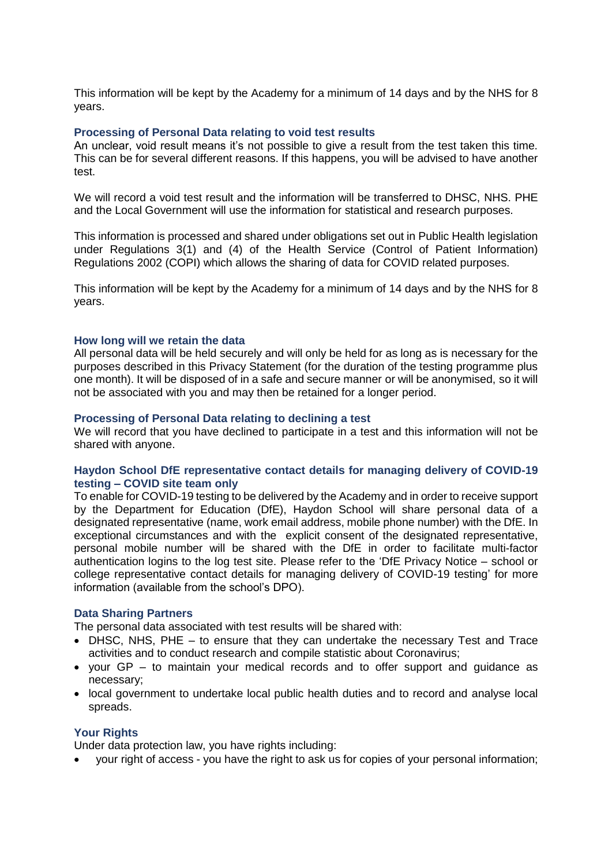This information will be kept by the Academy for a minimum of 14 days and by the NHS for 8 years.

## **Processing of Personal Data relating to void test results**

An unclear, void result means it's not possible to give a result from the test taken this time. This can be for several different reasons. If this happens, you will be advised to have another test.

We will record a void test result and the information will be transferred to DHSC, NHS. PHE and the Local Government will use the information for statistical and research purposes.

This information is processed and shared under obligations set out in Public Health legislation under Regulations 3(1) and (4) of the Health Service (Control of Patient Information) Regulations 2002 (COPI) which allows the sharing of data for COVID related purposes.

This information will be kept by the Academy for a minimum of 14 days and by the NHS for 8 years.

### **How long will we retain the data**

All personal data will be held securely and will only be held for as long as is necessary for the purposes described in this Privacy Statement (for the duration of the testing programme plus one month). It will be disposed of in a safe and secure manner or will be anonymised, so it will not be associated with you and may then be retained for a longer period.

### **Processing of Personal Data relating to declining a test**

We will record that you have declined to participate in a test and this information will not be shared with anyone.

# **Haydon School DfE representative contact details for managing delivery of COVID-19 testing – COVID site team only**

To enable for COVID-19 testing to be delivered by the Academy and in order to receive support by the Department for Education (DfE), Haydon School will share personal data of a designated representative (name, work email address, mobile phone number) with the DfE. In exceptional circumstances and with the explicit consent of the designated representative, personal mobile number will be shared with the DfE in order to facilitate multi-factor authentication logins to the log test site. Please refer to the 'DfE Privacy Notice – school or college representative contact details for managing delivery of COVID-19 testing' for more information (available from the school's DPO).

### **Data Sharing Partners**

The personal data associated with test results will be shared with:

- DHSC, NHS, PHE to ensure that they can undertake the necessary Test and Trace activities and to conduct research and compile statistic about Coronavirus;
- your GP to maintain your medical records and to offer support and guidance as necessary;
- local government to undertake local public health duties and to record and analyse local spreads.

### **Your Rights**

Under data protection law, you have rights including:

your right of access - you have the right to ask us for copies of your personal information;